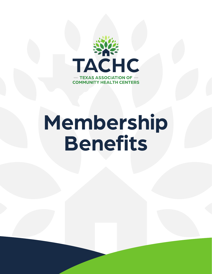

# **Membership Benefits**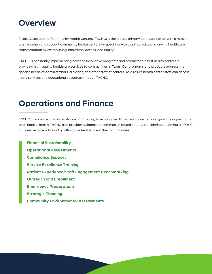## **Overview**

Texas Association of Community Health Centers (TACHC) is the state's primary care association with a mission to strengthen and support community health centers by speaking with a unified voice and driving healthcare transformation by exemplifying innovation, access, and equity.

TACHC is constantly implementing new and innovative programs and products to assist health centers in providing high-quality healthcare services to communities in Texas. Our programs and products address the specific needs of administrators, clinicians, and other staff at centers. As a result, health center staff can access many services and educational resources through TACHC.

# **Operations and Finance**

TACHC provides technical assistance and training to existing health centers to sustain and grow their operations and financial health. TACHC also provides guidance to community-based entities considering becoming an FQHC to increase access to quality, affordable healthcare in their communities.

 **Financial Sustainability Operational Assessments Compliance Support Service Excellence Training Patient Experience/Staff Engagement Benchmarking Outreach and Enrollment Emergency Preparations Strategic Planning Community Environmental Assessments**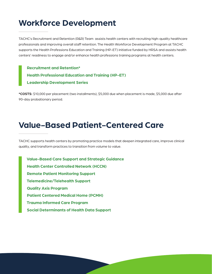## **Workforce Development**

TACHC's Recruitment and Retention (R&R) Team assists health centers with recruiting high-quality healthcare professionals and improving overall staff retention. The Health Workforce Development Program at TACHC supports the Health Professions Education and Training (HP-ET) initiative funded by HRSA and assists health centers' readiness to engage and/or enhance health professions training programs at health centers.

 **Recruitment and Retention\* Health Professional Education and Training (HP-ET) Leadership Development Series**

**\*COSTS:** \$10,000 per placement (two installments), \$5,000 due when placement is made, \$5,000 due after 90-day probationary period.

#### **Value-Based Patient-Centered Care**

TACHC supports health centers by promoting practice models that deepen integrated care, improve clinical quality, and transform practices to transition from volume to value.

 **Value-Based Care Support and Strategic Guidance Health Center Controlled Network (HCCN) Remote Patient Monitoring Support Telemedicine/Telehealth Support Quality Axis Program Patient Centered Medical Home (PCMH) Trauma Informed Care Program Social Determinants of Health Data Support**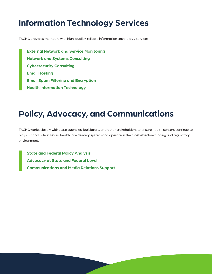# **Information Technology Services**

TACHC provides members with high-quality, reliable information technology services.

 **External Network and Service Monitoring Network and Systems Consulting Cybersecurity Consulting Email Hosting Email Spam Filtering and Encryption Health Information Technology** 

# **Policy, Advocacy, and Communications**

TACHC works closely with state agencies, legislators, and other stakeholders to ensure health centers continue to play a critical role in Texas' healthcare delivery system and operate in the most effective funding and regulatory environment.

 **State and Federal Policy Analysis Advocacy at State and Federal Level Communications and Media Relations Support**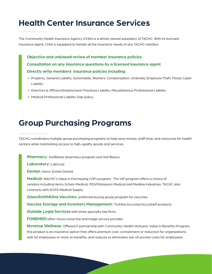# **Health Center Insurance Services**

The Community Health Insurance Agency (CHIA) is a wholly owned subsidiary of TACHC. With its licensed insurance agent, CHIA is equipped to handle all the insurance needs of any TACHC member.

 **Objective and unbiased review of member insurance policies Consultation on any insurance questions by a licensed insurance agent Directly write members' insurance policies including:**

- Property, General Liability, Automobile, Workers' Compensation, Umbrella, Employee Theft, Flood, Cyber Liability
- Directors & Officers/Employment Practices Liability, Miscellaneous Professional Liability
- Medical Professional Liability Gap policy

## **Group Purchasing Programs**

TACHC coordinates multiple group purchasing programs to help save money, staff time, and resources for health centers while maintaining access to high-quality goods and services.

 **Pharmacy:** 340B*etter* pharmacy program and 340 Basics

 **Laboratory:** LabCorp

 **Dental:** Henry Schein Dental

 **Medical:** NACHC's Value in Purchasing (ViP) program. The ViP program offers a choice of vendors including Henry Schein Medical, PSS/McKesson Medical and Medline Industries. TACHC also contracts with AOSS Medical Supply.

 **GlaxoSmithKline Vaccines:** preferred buying group program for vaccines

 **Vaccine Storage and Inventory Management:** TruMed AccuVax/AccuShelf products

**Outside Legal Services** with three specialty law firms

 **FONEMED:**after-hours nurse line and triage service provider

 **Nonstop Wellness:** Offered in partnership with Community Health Ventures' Value in Benefits Program, this product is an insurance option that offers premium cost-containment or reduction for organizations with 50 employees or more on benefits, and reduces or eliminates out-of-pocket costs for employees.